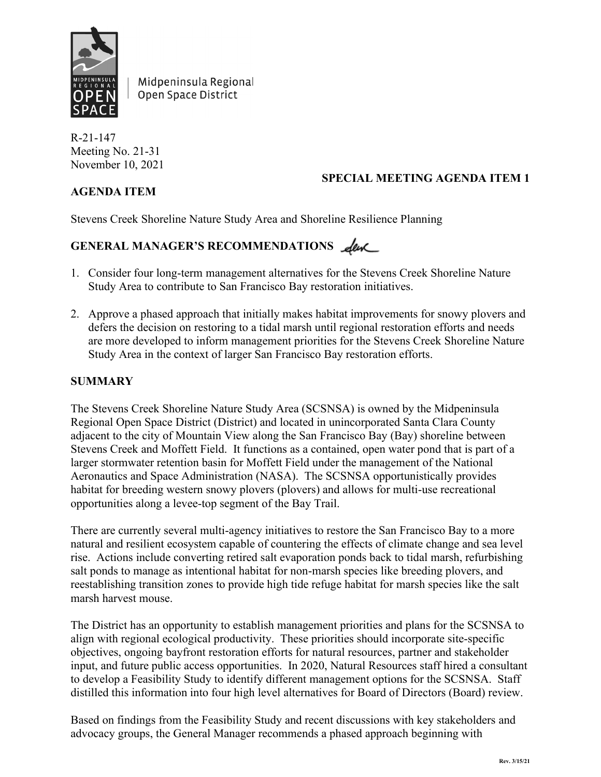

Midpeninsula Regional Open Space District

R-21-147 Meeting No. 21-31 November 10, 2021

# **AGENDA ITEM**

# **SPECIAL MEETING AGENDA ITEM 1**

Stevens Creek Shoreline Nature Study Area and Shoreline Resilience Planning

# GENERAL MANAGER'S RECOMMENDATIONS <u>Leve</u>

- 1. Consider four long-term management alternatives for the Stevens Creek Shoreline Nature Study Area to contribute to San Francisco Bay restoration initiatives.
- 2. Approve a phased approach that initially makes habitat improvements for snowy plovers and defers the decision on restoring to a tidal marsh until regional restoration efforts and needs are more developed to inform management priorities for the Stevens Creek Shoreline Nature Study Area in the context of larger San Francisco Bay restoration efforts.

### **SUMMARY**

The Stevens Creek Shoreline Nature Study Area (SCSNSA) is owned by the Midpeninsula Regional Open Space District (District) and located in unincorporated Santa Clara County adjacent to the city of Mountain View along the San Francisco Bay (Bay) shoreline between Stevens Creek and Moffett Field. It functions as a contained, open water pond that is part of a larger stormwater retention basin for Moffett Field under the management of the National Aeronautics and Space Administration (NASA). The SCSNSA opportunistically provides habitat for breeding western snowy plovers (plovers) and allows for multi-use recreational opportunities along a levee-top segment of the Bay Trail.

There are currently several multi-agency initiatives to restore the San Francisco Bay to a more natural and resilient ecosystem capable of countering the effects of climate change and sea level rise. Actions include converting retired salt evaporation ponds back to tidal marsh, refurbishing salt ponds to manage as intentional habitat for non-marsh species like breeding plovers, and reestablishing transition zones to provide high tide refuge habitat for marsh species like the salt marsh harvest mouse.

The District has an opportunity to establish management priorities and plans for the SCSNSA to align with regional ecological productivity. These priorities should incorporate site-specific objectives, ongoing bayfront restoration efforts for natural resources, partner and stakeholder input, and future public access opportunities. In 2020, Natural Resources staff hired a consultant to develop a Feasibility Study to identify different management options for the SCSNSA. Staff distilled this information into four high level alternatives for Board of Directors (Board) review.

Based on findings from the Feasibility Study and recent discussions with key stakeholders and advocacy groups, the General Manager recommends a phased approach beginning with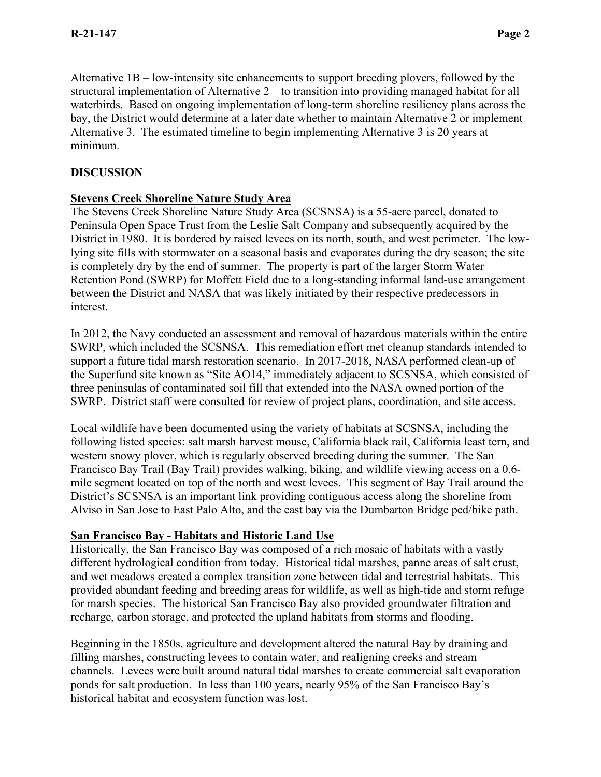Alternative 1B – low-intensity site enhancements to support breeding plovers, followed by the structural implementation of Alternative 2 – to transition into providing managed habitat for all waterbirds. Based on ongoing implementation of long-term shoreline resiliency plans across the bay, the District would determine at a later date whether to maintain Alternative 2 or implement Alternative 3. The estimated timeline to begin implementing Alternative 3 is 20 years at minimum.

# **DISCUSSION**

# **Stevens Creek Shoreline Nature Study Area**

The Stevens Creek Shoreline Nature Study Area (SCSNSA) is a 55-acre parcel, donated to Peninsula Open Space Trust from the Leslie Salt Company and subsequently acquired by the District in 1980. It is bordered by raised levees on its north, south, and west perimeter. The lowlying site fills with stormwater on a seasonal basis and evaporates during the dry season; the site is completely dry by the end of summer. The property is part of the larger Storm Water Retention Pond (SWRP) for Moffett Field due to a long-standing informal land-use arrangement between the District and NASA that was likely initiated by their respective predecessors in interest.

In 2012, the Navy conducted an assessment and removal of hazardous materials within the entire SWRP, which included the SCSNSA. This remediation effort met cleanup standards intended to support a future tidal marsh restoration scenario. In 2017-2018, NASA performed clean-up of the Superfund site known as "Site AO14," immediately adjacent to SCSNSA, which consisted of three peninsulas of contaminated soil fill that extended into the NASA owned portion of the SWRP. District staff were consulted for review of project plans, coordination, and site access.

Local wildlife have been documented using the variety of habitats at SCSNSA, including the following listed species: salt marsh harvest mouse, California black rail, California least tern, and western snowy plover, which is regularly observed breeding during the summer. The San Francisco Bay Trail (Bay Trail) provides walking, biking, and wildlife viewing access on a 0.6 mile segment located on top of the north and west levees. This segment of Bay Trail around the District's SCSNSA is an important link providing contiguous access along the shoreline from Alviso in San Jose to East Palo Alto, and the east bay via the Dumbarton Bridge ped/bike path.

# **San Francisco Bay - Habitats and Historic Land Use**

Historically, the San Francisco Bay was composed of a rich mosaic of habitats with a vastly different hydrological condition from today. Historical tidal marshes, panne areas of salt crust, and wet meadows created a complex transition zone between tidal and terrestrial habitats. This provided abundant feeding and breeding areas for wildlife, as well as high-tide and storm refuge for marsh species. The historical San Francisco Bay also provided groundwater filtration and recharge, carbon storage, and protected the upland habitats from storms and flooding.

Beginning in the 1850s, agriculture and development altered the natural Bay by draining and filling marshes, constructing levees to contain water, and realigning creeks and stream channels. Levees were built around natural tidal marshes to create commercial salt evaporation ponds for salt production. In less than 100 years, nearly 95% of the San Francisco Bay's historical habitat and ecosystem function was lost.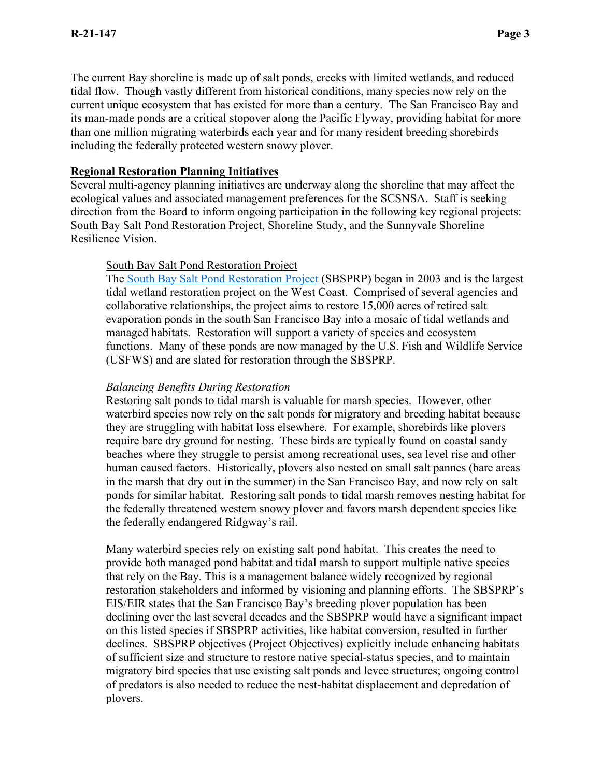The current Bay shoreline is made up of salt ponds, creeks with limited wetlands, and reduced tidal flow. Though vastly different from historical conditions, many species now rely on the current unique ecosystem that has existed for more than a century. The San Francisco Bay and its man-made ponds are a critical stopover along the Pacific Flyway, providing habitat for more than one million migrating waterbirds each year and for many resident breeding shorebirds including the federally protected western snowy plover.

### **Regional Restoration Planning Initiatives**

Several multi-agency planning initiatives are underway along the shoreline that may affect the ecological values and associated management preferences for the SCSNSA. Staff is seeking direction from the Board to inform ongoing participation in the following key regional projects: South Bay Salt Pond Restoration Project, Shoreline Study, and the Sunnyvale Shoreline Resilience Vision.

### South Bay Salt Pond Restoration Project

The [South Bay Salt Pond Restoration Project](https://www.southbayrestoration.org/page/maps) (SBSPRP) began in 2003 and is the largest tidal wetland restoration project on the West Coast. Comprised of several agencies and collaborative relationships, the project aims to restore 15,000 acres of retired salt evaporation ponds in the south San Francisco Bay into a mosaic of tidal wetlands and managed habitats. Restoration will support a variety of species and ecosystem functions. Many of these ponds are now managed by the U.S. Fish and Wildlife Service (USFWS) and are slated for restoration through the SBSPRP.

### *Balancing Benefits During Restoration*

Restoring salt ponds to tidal marsh is valuable for marsh species. However, other waterbird species now rely on the salt ponds for migratory and breeding habitat because they are struggling with habitat loss elsewhere. For example, shorebirds like plovers require bare dry ground for nesting. These birds are typically found on coastal sandy beaches where they struggle to persist among recreational uses, sea level rise and other human caused factors. Historically, plovers also nested on small salt pannes (bare areas in the marsh that dry out in the summer) in the San Francisco Bay, and now rely on salt ponds for similar habitat. Restoring salt ponds to tidal marsh removes nesting habitat for the federally threatened western snowy plover and favors marsh dependent species like the federally endangered Ridgway's rail.

Many waterbird species rely on existing salt pond habitat. This creates the need to provide both managed pond habitat and tidal marsh to support multiple native species that rely on the Bay. This is a management balance widely recognized by regional restoration stakeholders and informed by visioning and planning efforts. The SBSPRP's EIS/EIR states that the San Francisco Bay's breeding plover population has been declining over the last several decades and the SBSPRP would have a significant impact on this listed species if SBSPRP activities, like habitat conversion, resulted in further declines. SBSPRP objectives (Project Objectives) explicitly include enhancing habitats of sufficient size and structure to restore native special-status species, and to maintain migratory bird species that use existing salt ponds and levee structures; ongoing control of predators is also needed to reduce the nest-habitat displacement and depredation of plovers.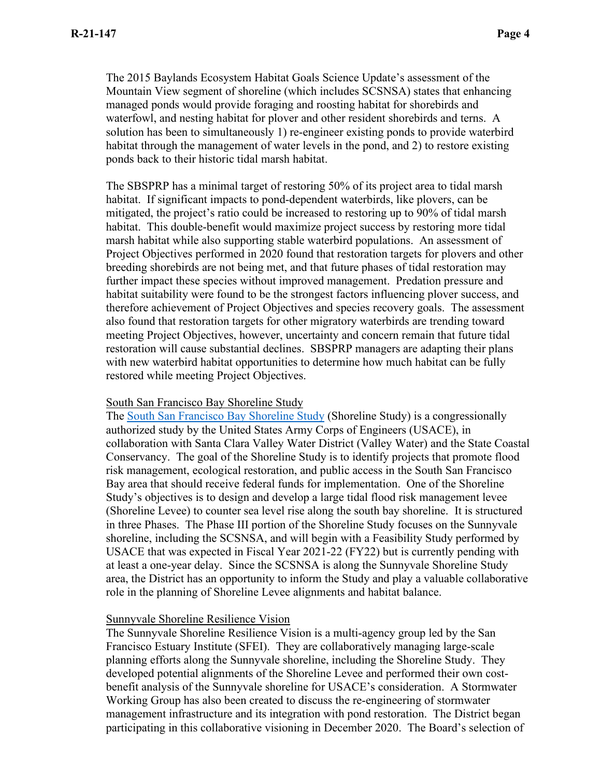The 2015 Baylands Ecosystem Habitat Goals Science Update's assessment of the Mountain View segment of shoreline (which includes SCSNSA) states that enhancing managed ponds would provide foraging and roosting habitat for shorebirds and waterfowl, and nesting habitat for plover and other resident shorebirds and terns. A solution has been to simultaneously 1) re-engineer existing ponds to provide waterbird habitat through the management of water levels in the pond, and 2) to restore existing ponds back to their historic tidal marsh habitat.

The SBSPRP has a minimal target of restoring 50% of its project area to tidal marsh habitat. If significant impacts to pond-dependent waterbirds, like plovers, can be mitigated, the project's ratio could be increased to restoring up to 90% of tidal marsh habitat. This double-benefit would maximize project success by restoring more tidal marsh habitat while also supporting stable waterbird populations. An assessment of Project Objectives performed in 2020 found that restoration targets for plovers and other breeding shorebirds are not being met, and that future phases of tidal restoration may further impact these species without improved management. Predation pressure and habitat suitability were found to be the strongest factors influencing plover success, and therefore achievement of Project Objectives and species recovery goals. The assessment also found that restoration targets for other migratory waterbirds are trending toward meeting Project Objectives, however, uncertainty and concern remain that future tidal restoration will cause substantial declines. SBSPRP managers are adapting their plans with new waterbird habitat opportunities to determine how much habitat can be fully restored while meeting Project Objectives.

#### South San Francisco Bay Shoreline Study

The [South San Francisco Bay Shoreline Study](http://www.southbayshoreline.org/index.html) (Shoreline Study) is a congressionally authorized study by the United States Army Corps of Engineers (USACE), in collaboration with Santa Clara Valley Water District (Valley Water) and the State Coastal Conservancy. The goal of the Shoreline Study is to identify projects that promote flood risk management, ecological restoration, and public access in the South San Francisco Bay area that should receive federal funds for implementation. One of the Shoreline Study's objectives is to design and develop a large tidal flood risk management levee (Shoreline Levee) to counter sea level rise along the south bay shoreline. It is structured in three Phases. The Phase III portion of the Shoreline Study focuses on the Sunnyvale shoreline, including the SCSNSA, and will begin with a Feasibility Study performed by USACE that was expected in Fiscal Year 2021-22 (FY22) but is currently pending with at least a one-year delay. Since the SCSNSA is along the Sunnyvale Shoreline Study area, the District has an opportunity to inform the Study and play a valuable collaborative role in the planning of Shoreline Levee alignments and habitat balance.

#### Sunnyvale Shoreline Resilience Vision

The Sunnyvale Shoreline Resilience Vision is a multi-agency group led by the San Francisco Estuary Institute (SFEI). They are collaboratively managing large-scale planning efforts along the Sunnyvale shoreline, including the Shoreline Study. They developed potential alignments of the Shoreline Levee and performed their own costbenefit analysis of the Sunnyvale shoreline for USACE's consideration. A Stormwater Working Group has also been created to discuss the re-engineering of stormwater management infrastructure and its integration with pond restoration. The District began participating in this collaborative visioning in December 2020. The Board's selection of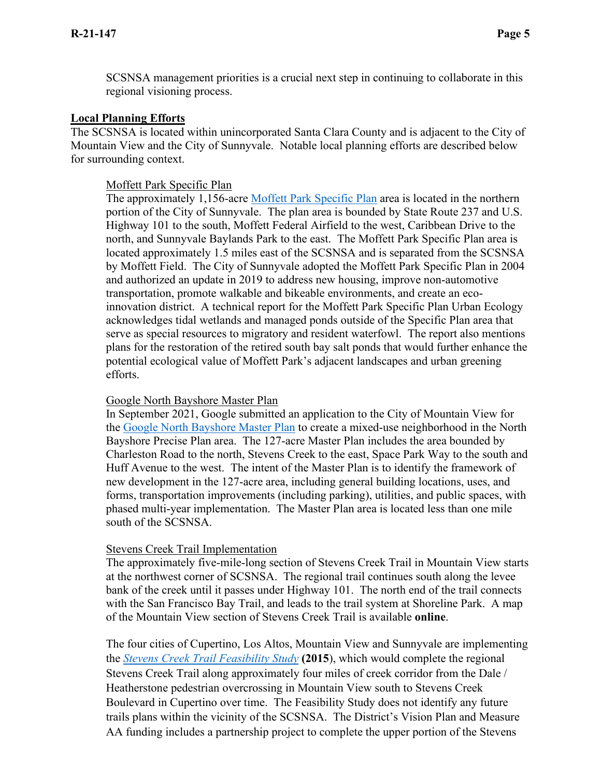SCSNSA management priorities is a crucial next step in continuing to collaborate in this regional visioning process.

### **Local Planning Efforts**

The SCSNSA is located within unincorporated Santa Clara County and is adjacent to the City of Mountain View and the City of Sunnyvale. Notable local planning efforts are described below for surrounding context.

#### Moffett Park Specific Plan

The approximately 1,156-acre [Moffett Park Specific Plan](https://www.moffettparksp.com/project-overview) area is located in the northern portion of the City of Sunnyvale. The plan area is bounded by State Route 237 and U.S. Highway 101 to the south, Moffett Federal Airfield to the west, Caribbean Drive to the north, and Sunnyvale Baylands Park to the east. The Moffett Park Specific Plan area is located approximately 1.5 miles east of the SCSNSA and is separated from the SCSNSA by Moffett Field. The City of Sunnyvale adopted the Moffett Park Specific Plan in 2004 and authorized an update in 2019 to address new housing, improve non-automotive transportation, promote walkable and bikeable environments, and create an ecoinnovation district. A technical report for the Moffett Park Specific Plan Urban Ecology acknowledges tidal wetlands and managed ponds outside of the Specific Plan area that serve as special resources to migratory and resident waterfowl. The report also mentions plans for the restoration of the retired south bay salt ponds that would further enhance the potential ecological value of Moffett Park's adjacent landscapes and urban greening efforts.

#### Google North Bayshore Master Plan

In September 2021, Google submitted an application to the City of Mountain View for the [Google North Bayshore](https://www.mountainview.gov/depts/comdev/planning/activeprojects/google/googleshorebird.asp) Master Plan to create a mixed-use neighborhood in the North Bayshore Precise Plan area. The 127-acre Master Plan includes the area bounded by Charleston Road to the north, Stevens Creek to the east, Space Park Way to the south and Huff Avenue to the west. The intent of the Master Plan is to identify the framework of new development in the 127-acre area, including general building locations, uses, and forms, transportation improvements (including parking), utilities, and public spaces, with phased multi-year implementation. The Master Plan area is located less than one mile south of the SCSNSA.

#### Stevens Creek Trail Implementation

The approximately five-mile-long section of Stevens Creek Trail in Mountain View starts at the northwest corner of SCSNSA. The regional trail continues south along the levee bank of the creek until it passes under Highway 101. The north end of the trail connects with the San Francisco Bay Trail, and leads to the trail system at Shoreline Park. A map of the Mountain View section of Stevens Creek Trail is available **[online](https://www.mountainview.gov/civicax/filebank/blobdload.aspx?BlobID=30370)**.

The four cities of Cupertino, Los Altos, Mountain View and Sunnyvale are implementing the *[Stevens Creek Trail Feasibility Study](https://sunnyvale.ca.gov/civicax/filebank/blobdload.aspx?BlobID=23225)* **(2015**), which would complete the regional Stevens Creek Trail along approximately four miles of creek corridor from the Dale / Heatherstone pedestrian overcrossing in Mountain View south to Stevens Creek Boulevard in Cupertino over time. The Feasibility Study does not identify any future trails plans within the vicinity of the SCSNSA. The District's Vision Plan and Measure AA funding includes a partnership project to complete the upper portion of the Stevens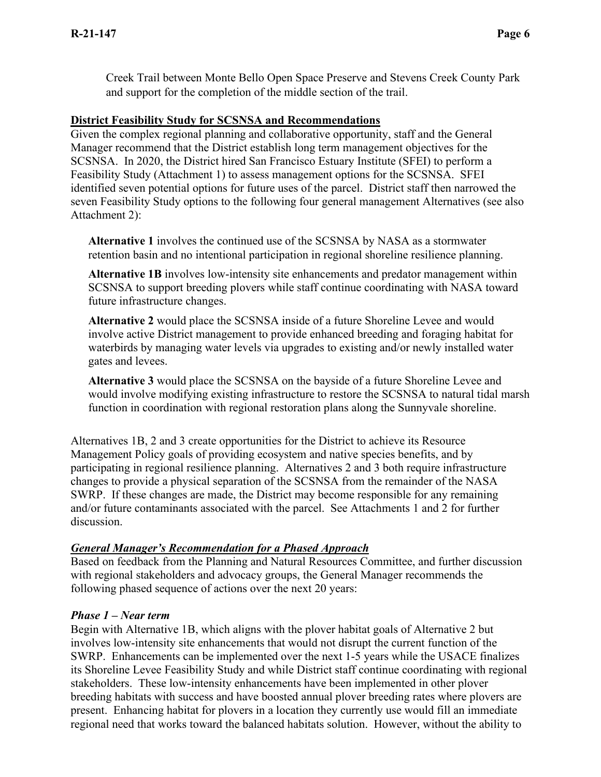Creek Trail between Monte Bello Open Space Preserve and Stevens Creek County Park and support for the completion of the middle section of the trail.

### **District Feasibility Study for SCSNSA and Recommendations**

Given the complex regional planning and collaborative opportunity, staff and the General Manager recommend that the District establish long term management objectives for the SCSNSA. In 2020, the District hired San Francisco Estuary Institute (SFEI) to perform a Feasibility Study (Attachment 1) to assess management options for the SCSNSA. SFEI identified seven potential options for future uses of the parcel. District staff then narrowed the seven Feasibility Study options to the following four general management Alternatives (see also Attachment 2):

**Alternative 1** involves the continued use of the SCSNSA by NASA as a stormwater retention basin and no intentional participation in regional shoreline resilience planning.

**Alternative 1B** involves low-intensity site enhancements and predator management within SCSNSA to support breeding plovers while staff continue coordinating with NASA toward future infrastructure changes.

**Alternative 2** would place the SCSNSA inside of a future Shoreline Levee and would involve active District management to provide enhanced breeding and foraging habitat for waterbirds by managing water levels via upgrades to existing and/or newly installed water gates and levees.

**Alternative 3** would place the SCSNSA on the bayside of a future Shoreline Levee and would involve modifying existing infrastructure to restore the SCSNSA to natural tidal marsh function in coordination with regional restoration plans along the Sunnyvale shoreline.

Alternatives 1B, 2 and 3 create opportunities for the District to achieve its Resource Management Policy goals of providing ecosystem and native species benefits, and by participating in regional resilience planning. Alternatives 2 and 3 both require infrastructure changes to provide a physical separation of the SCSNSA from the remainder of the NASA SWRP. If these changes are made, the District may become responsible for any remaining and/or future contaminants associated with the parcel. See Attachments 1 and 2 for further discussion.

### *General Manager's Recommendation for a Phased Approach*

Based on feedback from the Planning and Natural Resources Committee, and further discussion with regional stakeholders and advocacy groups, the General Manager recommends the following phased sequence of actions over the next 20 years:

#### *Phase 1 – Near term*

Begin with Alternative 1B, which aligns with the plover habitat goals of Alternative 2 but involves low-intensity site enhancements that would not disrupt the current function of the SWRP. Enhancements can be implemented over the next 1-5 years while the USACE finalizes its Shoreline Levee Feasibility Study and while District staff continue coordinating with regional stakeholders. These low-intensity enhancements have been implemented in other plover breeding habitats with success and have boosted annual plover breeding rates where plovers are present. Enhancing habitat for plovers in a location they currently use would fill an immediate regional need that works toward the balanced habitats solution. However, without the ability to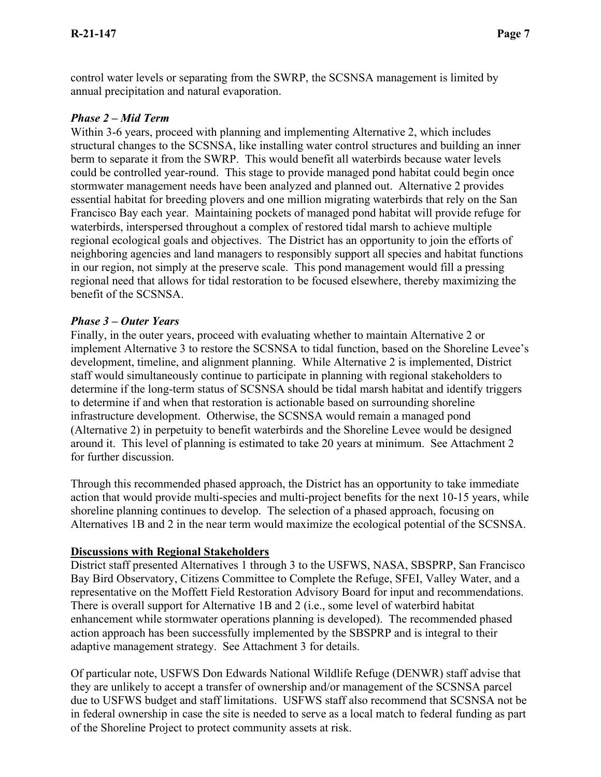control water levels or separating from the SWRP, the SCSNSA management is limited by annual precipitation and natural evaporation.

### *Phase 2 – Mid Term*

Within 3-6 years, proceed with planning and implementing Alternative 2, which includes structural changes to the SCSNSA, like installing water control structures and building an inner berm to separate it from the SWRP. This would benefit all waterbirds because water levels could be controlled year-round. This stage to provide managed pond habitat could begin once stormwater management needs have been analyzed and planned out. Alternative 2 provides essential habitat for breeding plovers and one million migrating waterbirds that rely on the San Francisco Bay each year. Maintaining pockets of managed pond habitat will provide refuge for waterbirds, interspersed throughout a complex of restored tidal marsh to achieve multiple regional ecological goals and objectives. The District has an opportunity to join the efforts of neighboring agencies and land managers to responsibly support all species and habitat functions in our region, not simply at the preserve scale. This pond management would fill a pressing regional need that allows for tidal restoration to be focused elsewhere, thereby maximizing the benefit of the SCSNSA.

### *Phase 3 – Outer Years*

Finally, in the outer years, proceed with evaluating whether to maintain Alternative 2 or implement Alternative 3 to restore the SCSNSA to tidal function, based on the Shoreline Levee's development, timeline, and alignment planning. While Alternative 2 is implemented, District staff would simultaneously continue to participate in planning with regional stakeholders to determine if the long-term status of SCSNSA should be tidal marsh habitat and identify triggers to determine if and when that restoration is actionable based on surrounding shoreline infrastructure development. Otherwise, the SCSNSA would remain a managed pond (Alternative 2) in perpetuity to benefit waterbirds and the Shoreline Levee would be designed around it. This level of planning is estimated to take 20 years at minimum. See Attachment 2 for further discussion.

Through this recommended phased approach, the District has an opportunity to take immediate action that would provide multi-species and multi-project benefits for the next 10-15 years, while shoreline planning continues to develop. The selection of a phased approach, focusing on Alternatives 1B and 2 in the near term would maximize the ecological potential of the SCSNSA.

### **Discussions with Regional Stakeholders**

District staff presented Alternatives 1 through 3 to the USFWS, NASA, SBSPRP, San Francisco Bay Bird Observatory, Citizens Committee to Complete the Refuge, SFEI, Valley Water, and a representative on the Moffett Field Restoration Advisory Board for input and recommendations. There is overall support for Alternative 1B and 2 (i.e., some level of waterbird habitat enhancement while stormwater operations planning is developed). The recommended phased action approach has been successfully implemented by the SBSPRP and is integral to their adaptive management strategy. See Attachment 3 for details.

Of particular note, USFWS Don Edwards National Wildlife Refuge (DENWR) staff advise that they are unlikely to accept a transfer of ownership and/or management of the SCSNSA parcel due to USFWS budget and staff limitations. USFWS staff also recommend that SCSNSA not be in federal ownership in case the site is needed to serve as a local match to federal funding as part of the Shoreline Project to protect community assets at risk.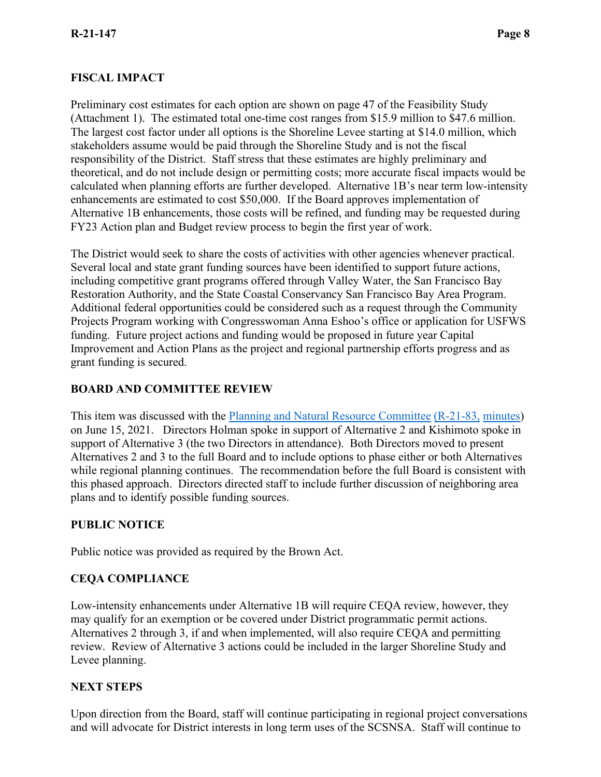### **FISCAL IMPACT**

Preliminary cost estimates for each option are shown on page 47 of the Feasibility Study (Attachment 1). The estimated total one-time cost ranges from \$15.9 million to \$47.6 million. The largest cost factor under all options is the Shoreline Levee starting at \$14.0 million, which stakeholders assume would be paid through the Shoreline Study and is not the fiscal responsibility of the District. Staff stress that these estimates are highly preliminary and theoretical, and do not include design or permitting costs; more accurate fiscal impacts would be calculated when planning efforts are further developed. Alternative 1B's near term low-intensity enhancements are estimated to cost \$50,000. If the Board approves implementation of Alternative 1B enhancements, those costs will be refined, and funding may be requested during FY23 Action plan and Budget review process to begin the first year of work.

The District would seek to share the costs of activities with other agencies whenever practical. Several local and state grant funding sources have been identified to support future actions, including competitive grant programs offered through Valley Water, the San Francisco Bay Restoration Authority, and the State Coastal Conservancy San Francisco Bay Area Program. Additional federal opportunities could be considered such as a request through the Community Projects Program working with Congresswoman Anna Eshoo's office or application for USFWS funding. Future project actions and funding would be proposed in future year Capital Improvement and Action Plans as the project and regional partnership efforts progress and as grant funding is secured.

### **BOARD AND COMMITTEE REVIEW**

This item was discussed with the [Planning and Natural Resource Committee](https://gcc02.safelinks.protection.outlook.com/?url=https%3A%2F%2Fwww.openspace.org%2Fsites%2Fdefault%2Ffiles%2F20210615_SCSNSAResiliencePlanning_R-21-83.pdf&data=04%7C01%7Cktokatlian%40openspace.org%7C6ada6cb2db8e4b3d2a3a08d99af28064%7Ce65476f846154c2c9a9d9fd7c71f4115%7C0%7C0%7C637711188604849808%7CUnknown%7CTWFpbGZsb3d8eyJWIjoiMC4wLjAwMDAiLCJQIjoiV2luMzIiLCJBTiI6Ik1haWwiLCJXVCI6Mn0%3D%7C1000&sdata=97oVGOIT50EZTs0U2%2F8TrXOKUNZDQ1bZ5YKX0b4g7x8%3D&reserved=0) [\(R-21-83,](https://www.openspace.org/sites/default/files/20210615_SCSNSAResiliencePlanning_R-21-83.pdf) [minutes\)](https://www.openspace.org/sites/default/files/20210615_minutes_PNR_APPROVED.pdf) on June 15, 2021. Directors Holman spoke in support of Alternative 2 and Kishimoto spoke in support of Alternative 3 (the two Directors in attendance). Both Directors moved to present Alternatives 2 and 3 to the full Board and to include options to phase either or both Alternatives while regional planning continues. The recommendation before the full Board is consistent with this phased approach. Directors directed staff to include further discussion of neighboring area plans and to identify possible funding sources.

### **PUBLIC NOTICE**

Public notice was provided as required by the Brown Act.

### **CEQA COMPLIANCE**

Low-intensity enhancements under Alternative 1B will require CEQA review, however, they may qualify for an exemption or be covered under District programmatic permit actions. Alternatives 2 through 3, if and when implemented, will also require CEQA and permitting review. Review of Alternative 3 actions could be included in the larger Shoreline Study and Levee planning.

### **NEXT STEPS**

Upon direction from the Board, staff will continue participating in regional project conversations and will advocate for District interests in long term uses of the SCSNSA. Staff will continue to